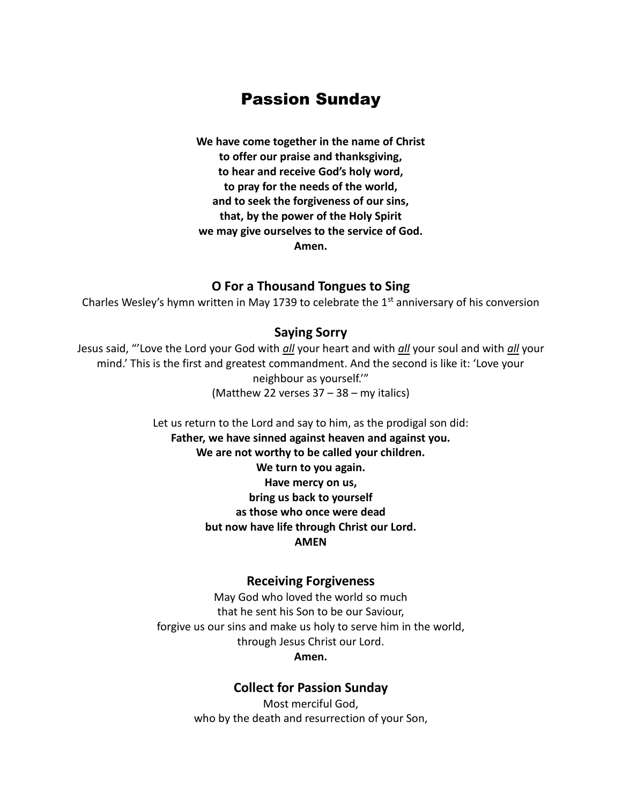# Passion Sunday

**We have come together in the name of Christ to offer our praise and thanksgiving, to hear and receive God's holy word, to pray for the needs of the world, and to seek the forgiveness of our sins, that, by the power of the Holy Spirit we may give ourselves to the service of God. Amen.**

### **O For a Thousand Tongues to Sing**

Charles Wesley's hymn written in May 1739 to celebrate the  $1<sup>st</sup>$  anniversary of his conversion

### **Saying Sorry**

Jesus said, "'Love the Lord your God with *all* your heart and with *all* your soul and with *all* your mind.' This is the first and greatest commandment. And the second is like it: 'Love your neighbour as yourself.'" (Matthew 22 verses 37 – 38 – my italics)

> Let us return to the Lord and say to him, as the prodigal son did: **Father, we have sinned against heaven and against you. We are not worthy to be called your children. We turn to you again. Have mercy on us, bring us back to yourself as those who once were dead but now have life through Christ our Lord. AMEN**

### **Receiving Forgiveness**

May God who loved the world so much that he sent his Son to be our Saviour, forgive us our sins and make us holy to serve him in the world, through Jesus Christ our Lord. **Amen.**

#### **Collect for Passion Sunday**

Most merciful God, who by the death and resurrection of your Son,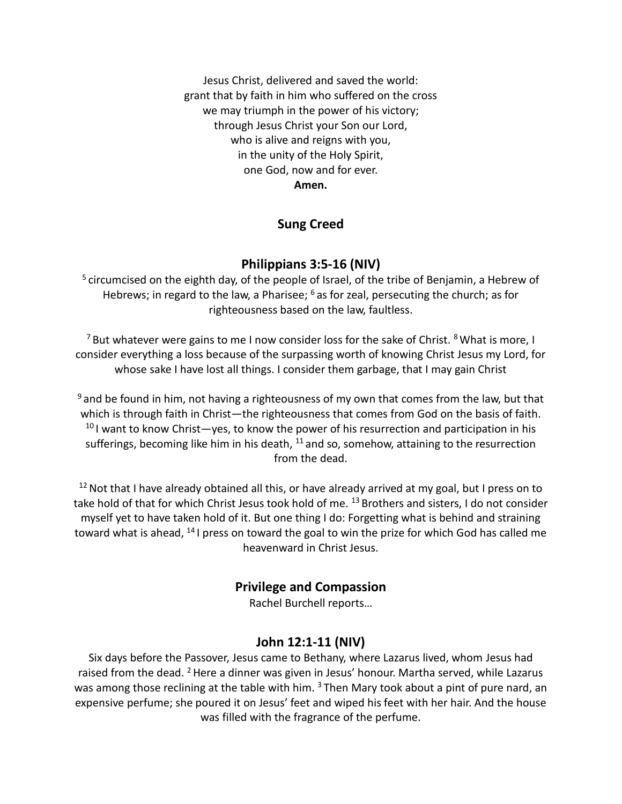Jesus Christ, delivered and saved the world: grant that by faith in him who suffered on the cross we may triumph in the power of his victory; through Jesus Christ your Son our Lord, who is alive and reigns with you, in the unity of the Holy Spirit, one God, now and for ever. **Amen.**

### **Sung Creed**

### **Philippians 3:5-16 (NIV)**

<sup>5</sup> circumcised on the eighth day, of the people of Israel, of the tribe of Benjamin, a Hebrew of Hebrews; in regard to the law, a Pharisee; <sup>6</sup> as for zeal, persecuting the church; as for righteousness based on the law, faultless.

 $7$  But whatever were gains to me I now consider loss for the sake of Christ.  $8$  What is more, I consider everything a loss because of the surpassing worth of knowing Christ Jesus my Lord, for whose sake I have lost all things. I consider them garbage, that I may gain Christ

 $9$  and be found in him, not having a righteousness of my own that comes from the law, but that which is through faith in Christ—the righteousness that comes from God on the basis of faith.  $10$  I want to know Christ—yes, to know the power of his resurrection and participation in his sufferings, becoming like him in his death,  $^{11}$  and so, somehow, attaining to the resurrection from the dead.

 $12$  Not that I have already obtained all this, or have already arrived at my goal, but I press on to take hold of that for which Christ Jesus took hold of me. <sup>13</sup> Brothers and sisters, I do not consider myself yet to have taken hold of it. But one thing I do: Forgetting what is behind and straining toward what is ahead,  $^{14}$  I press on toward the goal to win the prize for which God has called me heavenward in Christ Jesus.

### **Privilege and Compassion**

Rachel Burchell reports…

### **John 12:1-11 (NIV)**

Six days before the Passover, Jesus came to Bethany, where Lazarus lived, whom Jesus had raised from the dead. <sup>2</sup> Here a dinner was given in Jesus' honour. Martha served, while Lazarus was among those reclining at the table with him.  $3$  Then Mary took about a pint of pure nard, an expensive perfume; she poured it on Jesus' feet and wiped his feet with her hair. And the house was filled with the fragrance of the perfume.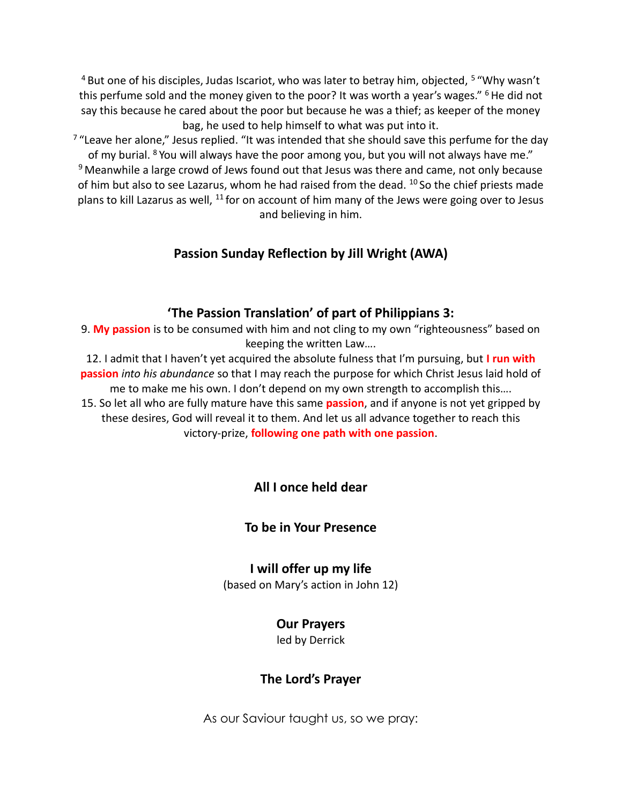<sup>4</sup> But one of his disciples, Judas Iscariot, who was later to betray him, objected, <sup>5</sup> "Why wasn't this perfume sold and the money given to the poor? It was worth a year's wages."  $6$  He did not say this because he cared about the poor but because he was a thief; as keeper of the money bag, he used to help himself to what was put into it.

 $7$  "Leave her alone," Jesus replied. "It was intended that she should save this perfume for the day of my burial. <sup>8</sup> You will always have the poor among you, but you will not always have me."  $9$  Meanwhile a large crowd of Jews found out that Jesus was there and came, not only because of him but also to see Lazarus, whom he had raised from the dead. <sup>10</sup> So the chief priests made plans to kill Lazarus as well,  $^{11}$  for on account of him many of the Jews were going over to Jesus and believing in him.

## **Passion Sunday Reflection by Jill Wright (AWA)**

### **'The Passion Translation' of part of Philippians 3:**

9. **My passion** is to be consumed with him and not cling to my own "righteousness" based on keeping the written Law….

12. I admit that I haven't yet acquired the absolute fulness that I'm pursuing, but **I run with passion** *into his abundance* so that I may reach the purpose for which Christ Jesus laid hold of me to make me his own. I don't depend on my own strength to accomplish this….

15. So let all who are fully mature have this same **passion**, and if anyone is not yet gripped by these desires, God will reveal it to them. And let us all advance together to reach this victory-prize, **following one path with one passion**.

# **All I once held dear**

### **To be in Your Presence**

### **I will offer up my life**

(based on Mary's action in John 12)

### **Our Prayers**

led by Derrick

### **The Lord's Prayer**

As our Saviour taught us, so we pray: